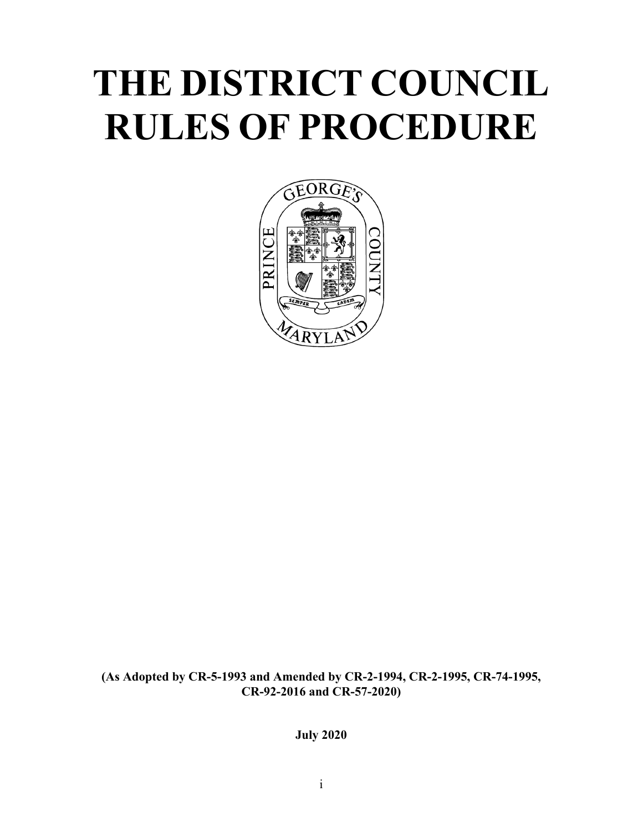# **THE DISTRICT COUNCIL RULES OF PROCEDURE**



**(As Adopted by CR-5-1993 and Amended by CR-2-1994, CR-2-1995, CR-74-1995, CR-92-2016 and CR-57-2020)**

**July 2020**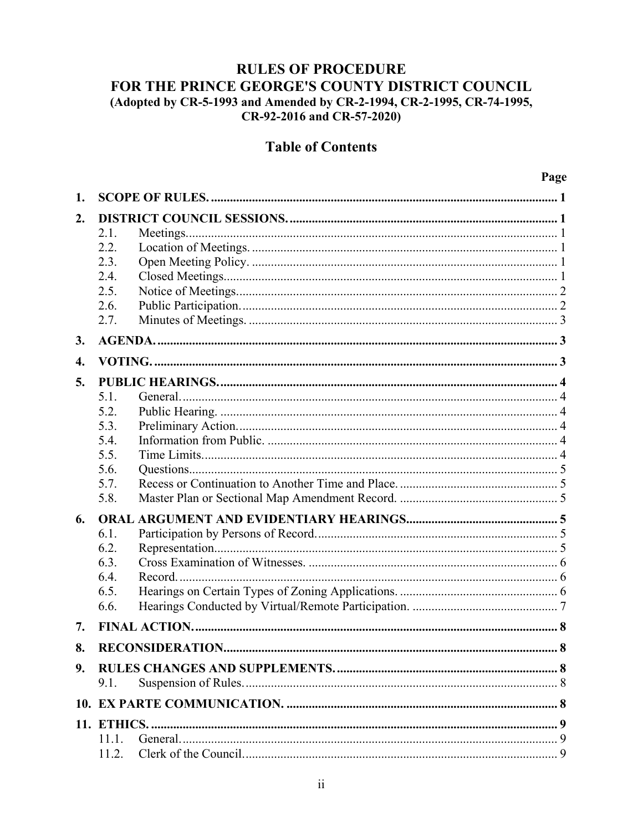# **RULES OF PROCEDURE** FOR THE PRINCE GEORGE'S COUNTY DISTRICT COUNCIL (Adopted by CR-5-1993 and Amended by CR-2-1994, CR-2-1995, CR-74-1995, CR-92-2016 and CR-57-2020)

# **Table of Contents**

| 1.                 |       |  |  |
|--------------------|-------|--|--|
| 2.                 |       |  |  |
|                    | 2.1.  |  |  |
|                    | 2.2.  |  |  |
|                    | 2.3.  |  |  |
|                    | 2.4.  |  |  |
|                    | 2.5.  |  |  |
|                    | 2.6.  |  |  |
|                    | 2.7.  |  |  |
| 3.                 |       |  |  |
| $\boldsymbol{4}$ . |       |  |  |
| 5.                 |       |  |  |
|                    | 5.1.  |  |  |
|                    | 5.2.  |  |  |
|                    | 5.3.  |  |  |
|                    | 5.4.  |  |  |
|                    | 5.5.  |  |  |
|                    | 5.6.  |  |  |
|                    | 5.7.  |  |  |
|                    | 5.8.  |  |  |
| 6.                 |       |  |  |
|                    | 6.1.  |  |  |
|                    | 6.2.  |  |  |
|                    | 6.3.  |  |  |
|                    | 6.4.  |  |  |
|                    | 6.5.  |  |  |
|                    | 6.6.  |  |  |
| 7.                 |       |  |  |
| 8.                 |       |  |  |
| 9.                 |       |  |  |
|                    | 9.1.  |  |  |
|                    |       |  |  |
|                    |       |  |  |
|                    | 11.1. |  |  |
|                    | 11.2. |  |  |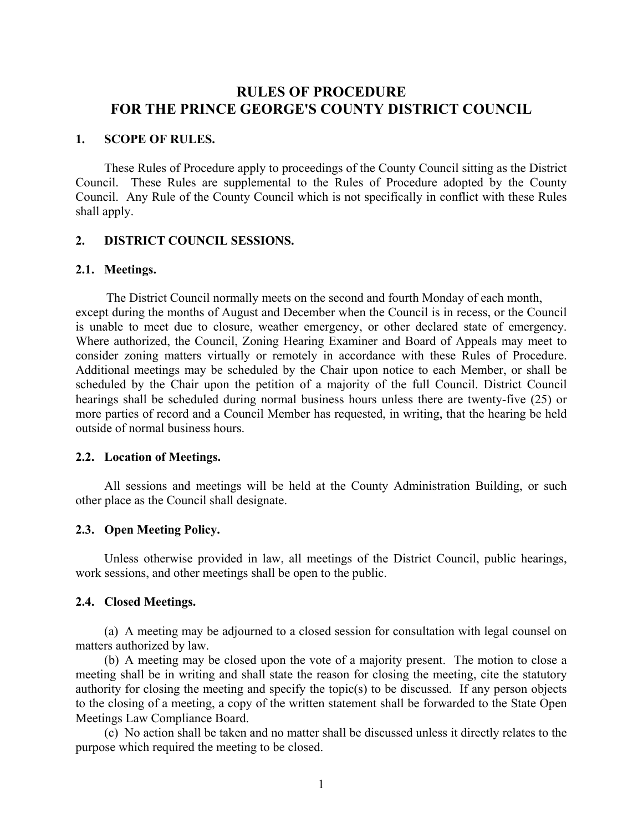# **RULES OF PROCEDURE FOR THE PRINCE GEORGE'S COUNTY DISTRICT COUNCIL**

#### **1. SCOPE OF RULES.**

These Rules of Procedure apply to proceedings of the County Council sitting as the District Council. These Rules are supplemental to the Rules of Procedure adopted by the County Council. Any Rule of the County Council which is not specifically in conflict with these Rules shall apply.

# **2. DISTRICT COUNCIL SESSIONS.**

#### **2.1. Meetings.**

The District Council normally meets on the second and fourth Monday of each month, except during the months of August and December when the Council is in recess, or the Council is unable to meet due to closure, weather emergency, or other declared state of emergency. Where authorized, the Council, Zoning Hearing Examiner and Board of Appeals may meet to consider zoning matters virtually or remotely in accordance with these Rules of Procedure. Additional meetings may be scheduled by the Chair upon notice to each Member, or shall be scheduled by the Chair upon the petition of a majority of the full Council. District Council hearings shall be scheduled during normal business hours unless there are twenty-five (25) or more parties of record and a Council Member has requested, in writing, that the hearing be held outside of normal business hours.

#### **2.2. Location of Meetings.**

All sessions and meetings will be held at the County Administration Building, or such other place as the Council shall designate.

# **2.3. Open Meeting Policy.**

Unless otherwise provided in law, all meetings of the District Council, public hearings, work sessions, and other meetings shall be open to the public.

#### **2.4. Closed Meetings.**

(a) A meeting may be adjourned to a closed session for consultation with legal counsel on matters authorized by law.

(b) A meeting may be closed upon the vote of a majority present. The motion to close a meeting shall be in writing and shall state the reason for closing the meeting, cite the statutory authority for closing the meeting and specify the topic(s) to be discussed. If any person objects to the closing of a meeting, a copy of the written statement shall be forwarded to the State Open Meetings Law Compliance Board.

(c) No action shall be taken and no matter shall be discussed unless it directly relates to the purpose which required the meeting to be closed.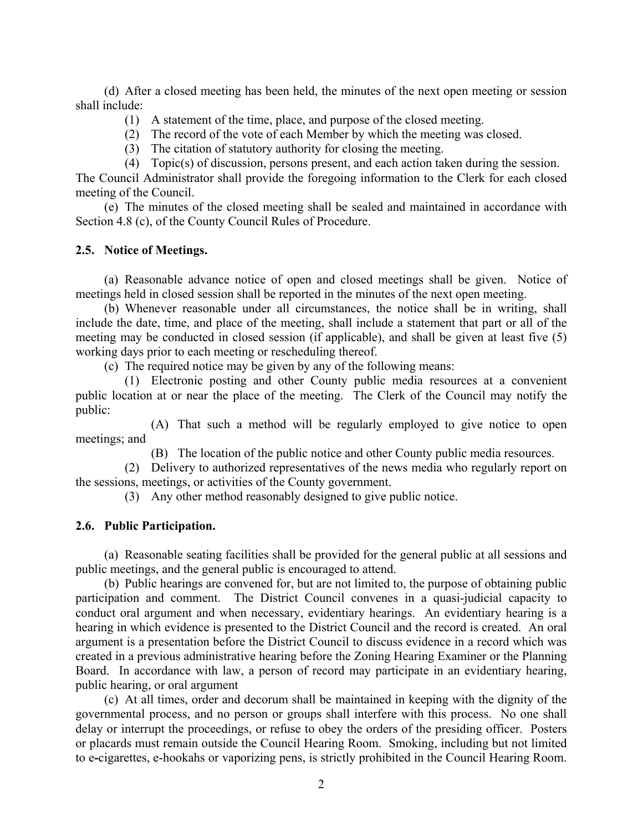(d) After a closed meeting has been held, the minutes of the next open meeting or session shall include:

- (1) A statement of the time, place, and purpose of the closed meeting.
- (2) The record of the vote of each Member by which the meeting was closed.
- (3) The citation of statutory authority for closing the meeting.
- (4) Topic(s) of discussion, persons present, and each action taken during the session.

The Council Administrator shall provide the foregoing information to the Clerk for each closed meeting of the Council.

(e) The minutes of the closed meeting shall be sealed and maintained in accordance with Section 4.8 (c), of the County Council Rules of Procedure.

#### **2.5. Notice of Meetings.**

(a) Reasonable advance notice of open and closed meetings shall be given. Notice of meetings held in closed session shall be reported in the minutes of the next open meeting.

(b) Whenever reasonable under all circumstances, the notice shall be in writing, shall include the date, time, and place of the meeting, shall include a statement that part or all of the meeting may be conducted in closed session (if applicable), and shall be given at least five (5) working days prior to each meeting or rescheduling thereof.

(c) The required notice may be given by any of the following means:

(1) Electronic posting and other County public media resources at a convenient public location at or near the place of the meeting. The Clerk of the Council may notify the public:

(A) That such a method will be regularly employed to give notice to open meetings; and

(B) The location of the public notice and other County public media resources.

(2) Delivery to authorized representatives of the news media who regularly report on the sessions, meetings, or activities of the County government.

(3) Any other method reasonably designed to give public notice.

# **2.6. Public Participation.**

(a) Reasonable seating facilities shall be provided for the general public at all sessions and public meetings, and the general public is encouraged to attend.

(b) Public hearings are convened for, but are not limited to, the purpose of obtaining public participation and comment. The District Council convenes in a quasi-judicial capacity to conduct oral argument and when necessary, evidentiary hearings. An evidentiary hearing is a hearing in which evidence is presented to the District Council and the record is created. An oral argument is a presentation before the District Council to discuss evidence in a record which was created in a previous administrative hearing before the Zoning Hearing Examiner or the Planning Board. In accordance with law, a person of record may participate in an evidentiary hearing, public hearing, or oral argument

(c) At all times, order and decorum shall be maintained in keeping with the dignity of the governmental process, and no person or groups shall interfere with this process. No one shall delay or interrupt the proceedings, or refuse to obey the orders of the presiding officer. Posters or placards must remain outside the Council Hearing Room. Smoking, including but not limited to e**-**cigarettes, e-hookahs or vaporizing pens, is strictly prohibited in the Council Hearing Room.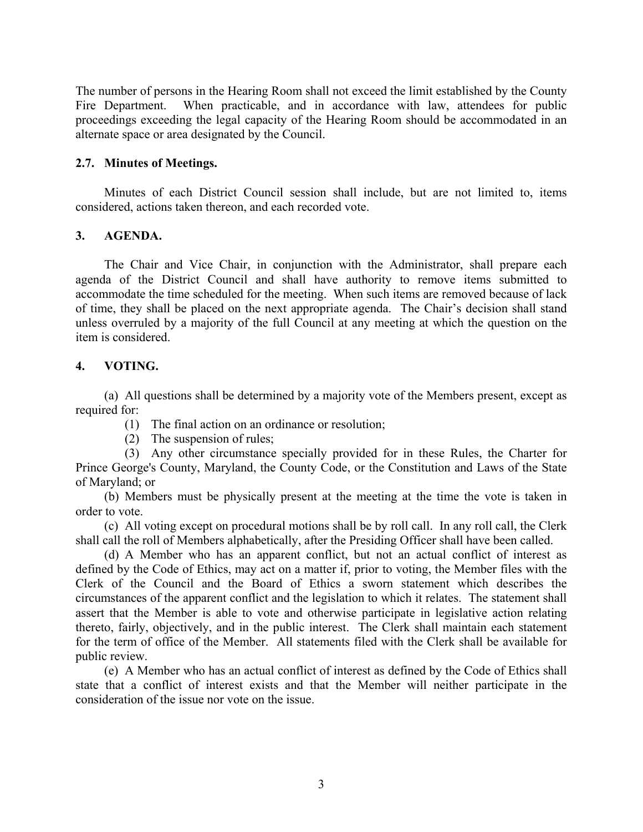The number of persons in the Hearing Room shall not exceed the limit established by the County Fire Department. When practicable, and in accordance with law, attendees for public proceedings exceeding the legal capacity of the Hearing Room should be accommodated in an alternate space or area designated by the Council.

# **2.7. Minutes of Meetings.**

Minutes of each District Council session shall include, but are not limited to, items considered, actions taken thereon, and each recorded vote.

# **3. AGENDA.**

The Chair and Vice Chair, in conjunction with the Administrator, shall prepare each agenda of the District Council and shall have authority to remove items submitted to accommodate the time scheduled for the meeting. When such items are removed because of lack of time, they shall be placed on the next appropriate agenda. The Chair's decision shall stand unless overruled by a majority of the full Council at any meeting at which the question on the item is considered.

# **4. VOTING.**

(a) All questions shall be determined by a majority vote of the Members present, except as required for:

- (1) The final action on an ordinance or resolution;
- (2) The suspension of rules;

(3) Any other circumstance specially provided for in these Rules, the Charter for Prince George's County, Maryland, the County Code, or the Constitution and Laws of the State of Maryland; or

(b) Members must be physically present at the meeting at the time the vote is taken in order to vote.

(c) All voting except on procedural motions shall be by roll call. In any roll call, the Clerk shall call the roll of Members alphabetically, after the Presiding Officer shall have been called.

(d) A Member who has an apparent conflict, but not an actual conflict of interest as defined by the Code of Ethics, may act on a matter if, prior to voting, the Member files with the Clerk of the Council and the Board of Ethics a sworn statement which describes the circumstances of the apparent conflict and the legislation to which it relates. The statement shall assert that the Member is able to vote and otherwise participate in legislative action relating thereto, fairly, objectively, and in the public interest. The Clerk shall maintain each statement for the term of office of the Member. All statements filed with the Clerk shall be available for public review.

(e) A Member who has an actual conflict of interest as defined by the Code of Ethics shall state that a conflict of interest exists and that the Member will neither participate in the consideration of the issue nor vote on the issue.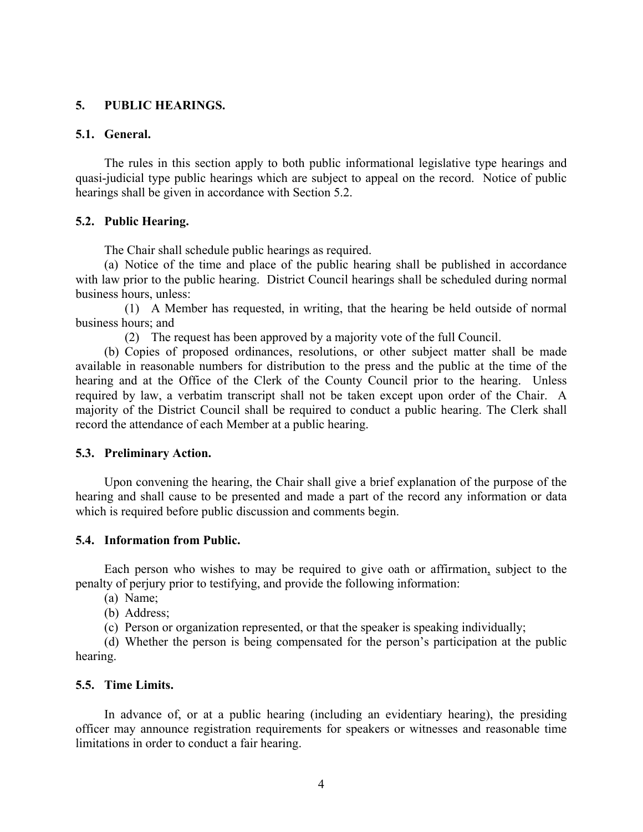# **5. PUBLIC HEARINGS.**

#### **5.1. General.**

The rules in this section apply to both public informational legislative type hearings and quasi-judicial type public hearings which are subject to appeal on the record. Notice of public hearings shall be given in accordance with Section 5.2.

# **5.2. Public Hearing.**

The Chair shall schedule public hearings as required.

(a) Notice of the time and place of the public hearing shall be published in accordance with law prior to the public hearing. District Council hearings shall be scheduled during normal business hours, unless:

(1) A Member has requested, in writing, that the hearing be held outside of normal business hours; and

(2) The request has been approved by a majority vote of the full Council.

(b) Copies of proposed ordinances, resolutions, or other subject matter shall be made available in reasonable numbers for distribution to the press and the public at the time of the hearing and at the Office of the Clerk of the County Council prior to the hearing. Unless required by law, a verbatim transcript shall not be taken except upon order of the Chair. A majority of the District Council shall be required to conduct a public hearing. The Clerk shall record the attendance of each Member at a public hearing.

# **5.3. Preliminary Action.**

Upon convening the hearing, the Chair shall give a brief explanation of the purpose of the hearing and shall cause to be presented and made a part of the record any information or data which is required before public discussion and comments begin.

# **5.4. Information from Public.**

Each person who wishes to may be required to give oath or affirmation, subject to the penalty of perjury prior to testifying, and provide the following information:

- (a) Name;
- (b) Address;
- (c) Person or organization represented, or that the speaker is speaking individually;

(d) Whether the person is being compensated for the person's participation at the public hearing.

# **5.5. Time Limits.**

In advance of, or at a public hearing (including an evidentiary hearing), the presiding officer may announce registration requirements for speakers or witnesses and reasonable time limitations in order to conduct a fair hearing.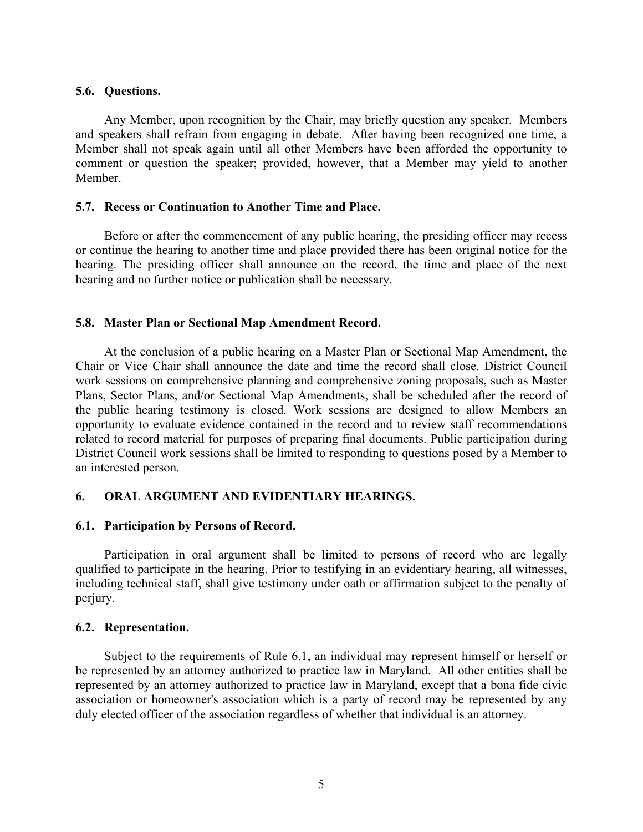#### **5.6. Questions.**

Any Member, upon recognition by the Chair, may briefly question any speaker. Members and speakers shall refrain from engaging in debate. After having been recognized one time, a Member shall not speak again until all other Members have been afforded the opportunity to comment or question the speaker; provided, however, that a Member may yield to another Member.

#### **5.7. Recess or Continuation to Another Time and Place.**

Before or after the commencement of any public hearing, the presiding officer may recess or continue the hearing to another time and place provided there has been original notice for the hearing. The presiding officer shall announce on the record, the time and place of the next hearing and no further notice or publication shall be necessary.

#### **5.8. Master Plan or Sectional Map Amendment Record.**

At the conclusion of a public hearing on a Master Plan or Sectional Map Amendment, the Chair or Vice Chair shall announce the date and time the record shall close. District Council work sessions on comprehensive planning and comprehensive zoning proposals, such as Master Plans, Sector Plans, and/or Sectional Map Amendments, shall be scheduled after the record of the public hearing testimony is closed. Work sessions are designed to allow Members an opportunity to evaluate evidence contained in the record and to review staff recommendations related to record material for purposes of preparing final documents. Public participation during District Council work sessions shall be limited to responding to questions posed by a Member to an interested person.

#### **6. ORAL ARGUMENT AND EVIDENTIARY HEARINGS.**

#### **6.1. Participation by Persons of Record.**

Participation in oral argument shall be limited to persons of record who are legally qualified to participate in the hearing. Prior to testifying in an evidentiary hearing, all witnesses, including technical staff, shall give testimony under oath or affirmation subject to the penalty of perjury.

#### **6.2. Representation.**

Subject to the requirements of Rule 6.1, an individual may represent himself or herself or be represented by an attorney authorized to practice law in Maryland. All other entities shall be represented by an attorney authorized to practice law in Maryland, except that a bona fide civic association or homeowner's association which is a party of record may be represented by any duly elected officer of the association regardless of whether that individual is an attorney.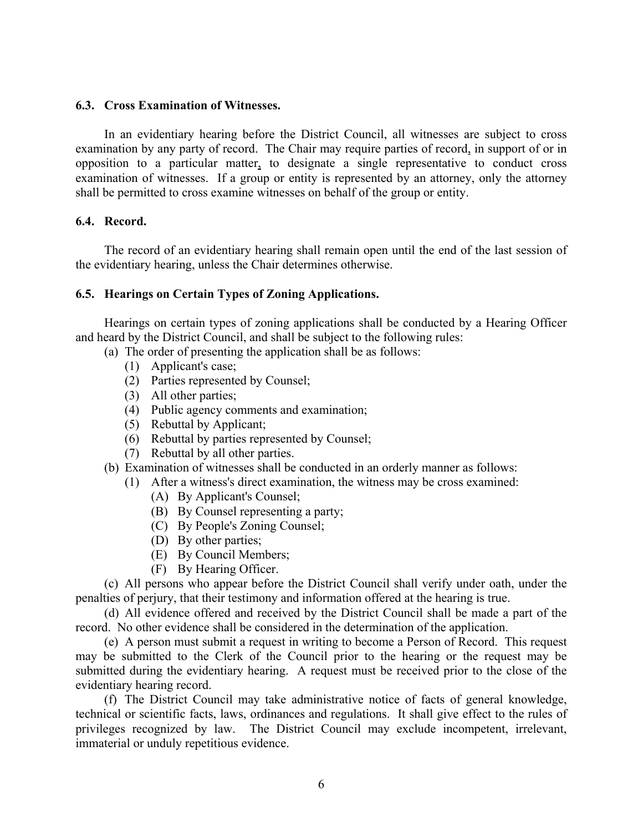#### **6.3. Cross Examination of Witnesses.**

In an evidentiary hearing before the District Council, all witnesses are subject to cross examination by any party of record. The Chair may require parties of record, in support of or in opposition to a particular matter, to designate a single representative to conduct cross examination of witnesses. If a group or entity is represented by an attorney, only the attorney shall be permitted to cross examine witnesses on behalf of the group or entity.

#### **6.4. Record.**

The record of an evidentiary hearing shall remain open until the end of the last session of the evidentiary hearing, unless the Chair determines otherwise.

#### **6.5. Hearings on Certain Types of Zoning Applications.**

Hearings on certain types of zoning applications shall be conducted by a Hearing Officer and heard by the District Council, and shall be subject to the following rules:

- (a) The order of presenting the application shall be as follows:
	- (1) Applicant's case;
	- (2) Parties represented by Counsel;
	- (3) All other parties;
	- (4) Public agency comments and examination;
	- (5) Rebuttal by Applicant;
	- (6) Rebuttal by parties represented by Counsel;
	- (7) Rebuttal by all other parties.
- (b) Examination of witnesses shall be conducted in an orderly manner as follows:
	- (1) After a witness's direct examination, the witness may be cross examined:
		- (A) By Applicant's Counsel;
		- (B) By Counsel representing a party;
		- (C) By People's Zoning Counsel;
		- (D) By other parties;
		- (E) By Council Members;
		- (F) By Hearing Officer.

(c) All persons who appear before the District Council shall verify under oath, under the penalties of perjury, that their testimony and information offered at the hearing is true.

(d) All evidence offered and received by the District Council shall be made a part of the record. No other evidence shall be considered in the determination of the application.

(e) A person must submit a request in writing to become a Person of Record. This request may be submitted to the Clerk of the Council prior to the hearing or the request may be submitted during the evidentiary hearing. A request must be received prior to the close of the evidentiary hearing record.

(f) The District Council may take administrative notice of facts of general knowledge, technical or scientific facts, laws, ordinances and regulations. It shall give effect to the rules of privileges recognized by law. The District Council may exclude incompetent, irrelevant, immaterial or unduly repetitious evidence.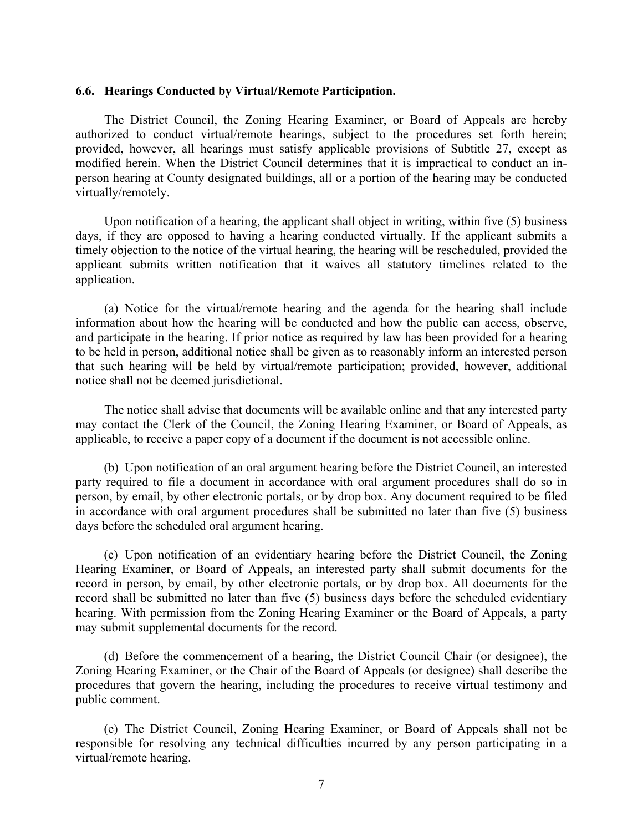#### **6.6. Hearings Conducted by Virtual/Remote Participation.**

The District Council, the Zoning Hearing Examiner, or Board of Appeals are hereby authorized to conduct virtual/remote hearings, subject to the procedures set forth herein; provided, however, all hearings must satisfy applicable provisions of Subtitle 27, except as modified herein. When the District Council determines that it is impractical to conduct an inperson hearing at County designated buildings, all or a portion of the hearing may be conducted virtually/remotely.

Upon notification of a hearing, the applicant shall object in writing, within five (5) business days, if they are opposed to having a hearing conducted virtually. If the applicant submits a timely objection to the notice of the virtual hearing, the hearing will be rescheduled, provided the applicant submits written notification that it waives all statutory timelines related to the application.

(a) Notice for the virtual/remote hearing and the agenda for the hearing shall include information about how the hearing will be conducted and how the public can access, observe, and participate in the hearing. If prior notice as required by law has been provided for a hearing to be held in person, additional notice shall be given as to reasonably inform an interested person that such hearing will be held by virtual/remote participation; provided, however, additional notice shall not be deemed jurisdictional.

The notice shall advise that documents will be available online and that any interested party may contact the Clerk of the Council, the Zoning Hearing Examiner, or Board of Appeals, as applicable, to receive a paper copy of a document if the document is not accessible online.

(b) Upon notification of an oral argument hearing before the District Council, an interested party required to file a document in accordance with oral argument procedures shall do so in person, by email, by other electronic portals, or by drop box. Any document required to be filed in accordance with oral argument procedures shall be submitted no later than five (5) business days before the scheduled oral argument hearing.

(c) Upon notification of an evidentiary hearing before the District Council, the Zoning Hearing Examiner, or Board of Appeals, an interested party shall submit documents for the record in person, by email, by other electronic portals, or by drop box. All documents for the record shall be submitted no later than five (5) business days before the scheduled evidentiary hearing. With permission from the Zoning Hearing Examiner or the Board of Appeals, a party may submit supplemental documents for the record.

(d) Before the commencement of a hearing, the District Council Chair (or designee), the Zoning Hearing Examiner, or the Chair of the Board of Appeals (or designee) shall describe the procedures that govern the hearing, including the procedures to receive virtual testimony and public comment.

(e) The District Council, Zoning Hearing Examiner, or Board of Appeals shall not be responsible for resolving any technical difficulties incurred by any person participating in a virtual/remote hearing.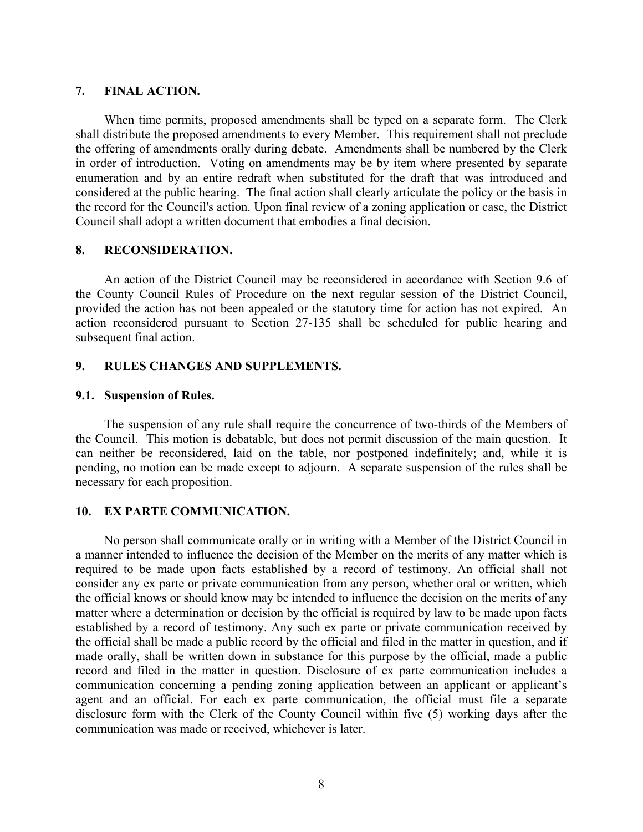#### **7. FINAL ACTION.**

When time permits, proposed amendments shall be typed on a separate form. The Clerk shall distribute the proposed amendments to every Member. This requirement shall not preclude the offering of amendments orally during debate. Amendments shall be numbered by the Clerk in order of introduction. Voting on amendments may be by item where presented by separate enumeration and by an entire redraft when substituted for the draft that was introduced and considered at the public hearing. The final action shall clearly articulate the policy or the basis in the record for the Council's action. Upon final review of a zoning application or case, the District Council shall adopt a written document that embodies a final decision.

#### **8. RECONSIDERATION.**

An action of the District Council may be reconsidered in accordance with Section 9.6 of the County Council Rules of Procedure on the next regular session of the District Council, provided the action has not been appealed or the statutory time for action has not expired. An action reconsidered pursuant to Section 27-135 shall be scheduled for public hearing and subsequent final action.

# **9. RULES CHANGES AND SUPPLEMENTS.**

#### **9.1. Suspension of Rules.**

The suspension of any rule shall require the concurrence of two-thirds of the Members of the Council. This motion is debatable, but does not permit discussion of the main question. It can neither be reconsidered, laid on the table, nor postponed indefinitely; and, while it is pending, no motion can be made except to adjourn. A separate suspension of the rules shall be necessary for each proposition.

# **10. EX PARTE COMMUNICATION.**

No person shall communicate orally or in writing with a Member of the District Council in a manner intended to influence the decision of the Member on the merits of any matter which is required to be made upon facts established by a record of testimony. An official shall not consider any ex parte or private communication from any person, whether oral or written, which the official knows or should know may be intended to influence the decision on the merits of any matter where a determination or decision by the official is required by law to be made upon facts established by a record of testimony. Any such ex parte or private communication received by the official shall be made a public record by the official and filed in the matter in question, and if made orally, shall be written down in substance for this purpose by the official, made a public record and filed in the matter in question. Disclosure of ex parte communication includes a communication concerning a pending zoning application between an applicant or applicant's agent and an official. For each ex parte communication, the official must file a separate disclosure form with the Clerk of the County Council within five (5) working days after the communication was made or received, whichever is later.